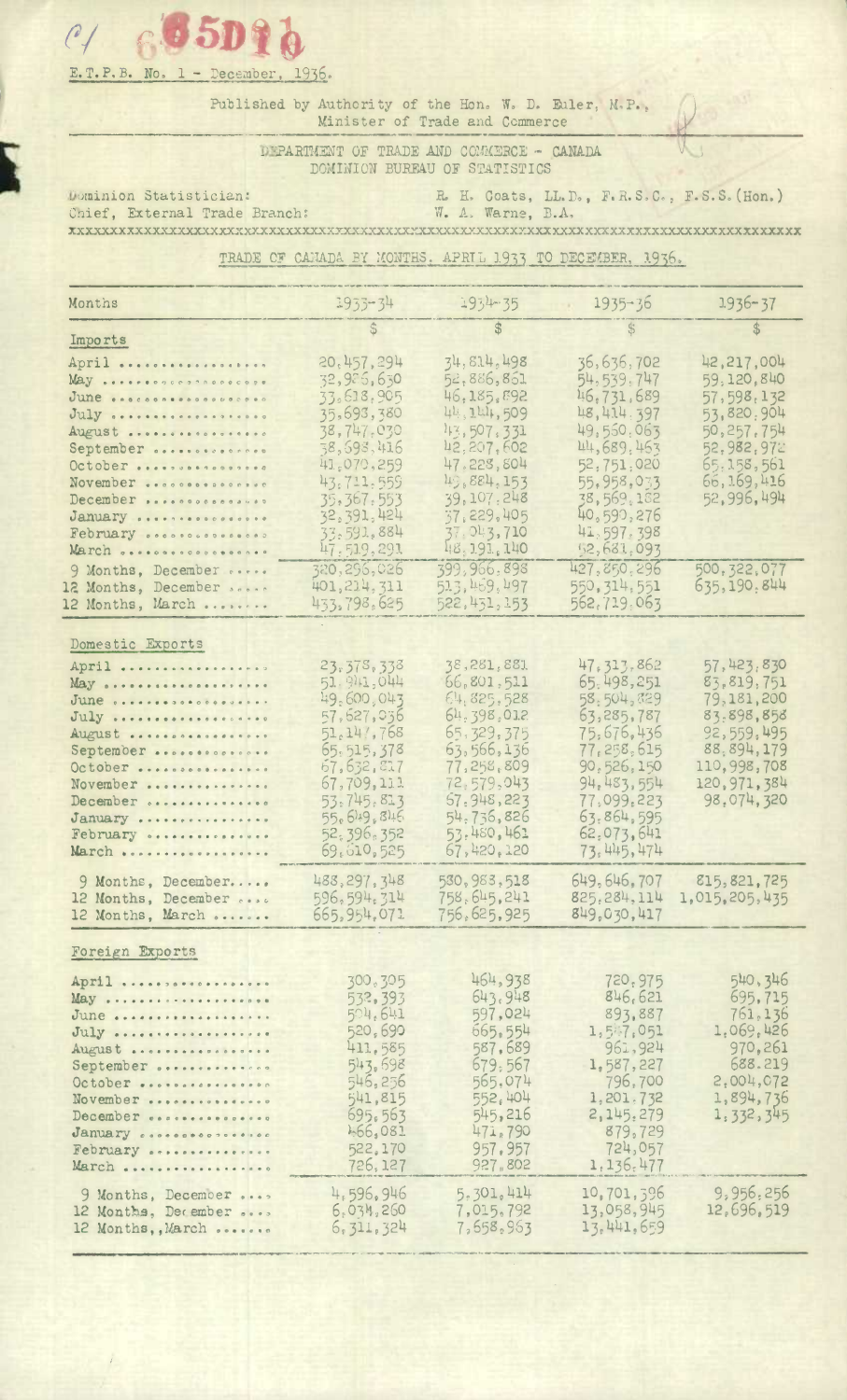$c_1$   $c_2$  5D10

E.T.P.B. No. 1 - December, 1936.

Published by Authority of the Hon. W. D. Euler, M.P., Minister of Trade and Commerce

DEPARTMENT OF TRADE AND COMMERCE - CANADA DOMINION BURFAU OF STATISTICS

**Tominion Statistician:** Chief, External Trade Branch: R. H. Coats, LL. D., F. R. S. C., F. S. S. (Hon.)<br>W. A. Warne, B.A.

TRADE OF CANADA BY MONTHS. APRIL 1933 TO DECEABER, 1936.

| Months                  | $1933 - 34$   | $1934 - 35$   | $1935 - 36$   | $1936 - 37$   |
|-------------------------|---------------|---------------|---------------|---------------|
|                         |               | \$            | \$            |               |
| Imports                 | \$            |               |               | \$            |
| April                   | 20, 457, 294  | 34, 814, 498  | 36, 636, 702  | 42,217,004    |
| May                     | 32,985,630    | 52,886,851    | 54, 539, 747  | 59.120.840    |
| June                    | 33.618.905    | 46, 185, 892  | 46,731,689    | 57, 598, 132  |
| July                    | 35,693,380    | 44, 144, 509  | 18, 414.397   | 53,820,904    |
| August                  | 38,747,030    | 43,507,331    | 49,550,063    | 50, 257, 754  |
| September               | 38,593,416    | 42, 207, 602  | 44,689.463    | 52.982.972    |
| October                 | 41,070,259    | 47.228,804    | 52,751,020    | 65.158,561    |
| November                | 43.711.559    | 45,884,153    | 55.958.033    | 66, 169, 416  |
| December                | 35, 367, 553  | 39, 107, 248  | 38,569.182    | 52,996,494    |
| January                 | 32, 391, 424  | 37,229,405    | 40,590,276    |               |
| February                | 33.591.884    | 37.043,710    | 41.597.398    |               |
| March                   | 47, 519, 291  | 48, 191, 140  | 12,681,093    |               |
| 9 Months, December      | 320,296,026   | 399, 966, 898 | 427, 850, 296 | 500, 322, 077 |
| 12 Months, December     | 401, 214, 311 | 513,469,497   | 550, 314, 551 | 635,190,844   |
| 12 Months, March        | 433,798,625   | 522, 431, 153 | 562, 719, 063 |               |
|                         |               |               |               |               |
| Domestic Exports        |               |               |               |               |
| April                   | 23.375.338    | 38,281,881    | 47, 313, 862  | 57, 423, 830  |
| May                     | 51.941,044    | 66,801,511    | 65.498,251    | 83, 819, 751  |
| June                    | 49.600.043    | 64,825,528    | 58.504,829    | 79,181,200    |
| July                    | 57, 627, 036  | 64, 398, 012  | 63,285,787    | 83.898,858    |
| August                  | 51, 14 . 768  | 65, 329, 375  | 75.676,436    | 92, 559, 495  |
| September               | 65, 515, 378  | 63,566,136    | 77, 258, 615  | 88.894,179    |
| October                 | 67, 632, 817  | 77, 258, 809  | 90, 526, 150  | 110,998,708   |
| November                | 67,709,111    | 72.579.043    | 94, 483, 554  | 120, 971, 384 |
| December                | 53,745,813    | 57.948,223    | 77,099,223    | 98,074,320    |
| January                 | 55. 649. 846  | 54, 736, 826  | 63, 864, 595  |               |
| February                | 52, 396, 352  | 53.480,461    | 62.073,641    |               |
| March                   | 69,610,525    | 67,420,120    | 73.445,474    |               |
| 9 Months, December      | 488, 297, 348 | 530,983,518   | 649, 646, 707 | 815, 821, 725 |
| 12 Months, December     | 596, 594, 314 | 758, 645, 241 | 825, 284, 114 | 1,015,205,435 |
| 12 Months, March        | 665, 954, 071 | 756, 625, 925 | 849,030,417   |               |
|                         |               |               |               |               |
| Foreign Exports         |               |               |               |               |
| April                   | 300,305       | 464,938       | 720, 975      | 540, 346      |
| May                     | 532,393       | 643.948       | 846,621       | 695,715       |
| June                    | 504,641       | 597,024       | 893,887       | 761,136       |
| July <i></i> .          | 520,690       | 665.554       | 1,547,051     | 1,069,426     |
| August                  | 411.585       | 587.689       | 961,924       | 970,261       |
| September               | 543,698       | 679, 567      | 1,587,227     | 688.219       |
| October                 | 546,256       | 565,074       | 796,700       | 2,004,072     |
| November                | 541,815       | 552,404       | 1,201.732     | 1,894,736     |
| December                | 695,563       | 545,216       | 2, 145, 279   | 1, 332, 345   |
| January coorerorsection | 466,081       | 471.790       | 879,729       |               |
| February                | 522,170       | 957, 957      | 724,057       |               |
| March                   | 726, 127      | 927,802       | 1, 136, 477   |               |
| 9 Months, December      | 4,596,946     | 5.301,414     | 10,701,596    | 9,956,256     |
| 12 Months, December     | 6.034,260     | 7,015,792     | 13,058,945    | 12,696,519    |
| 12 Months, March        | 6.311.324     | 7,558,963     | 13.441,659    |               |
|                         |               |               |               |               |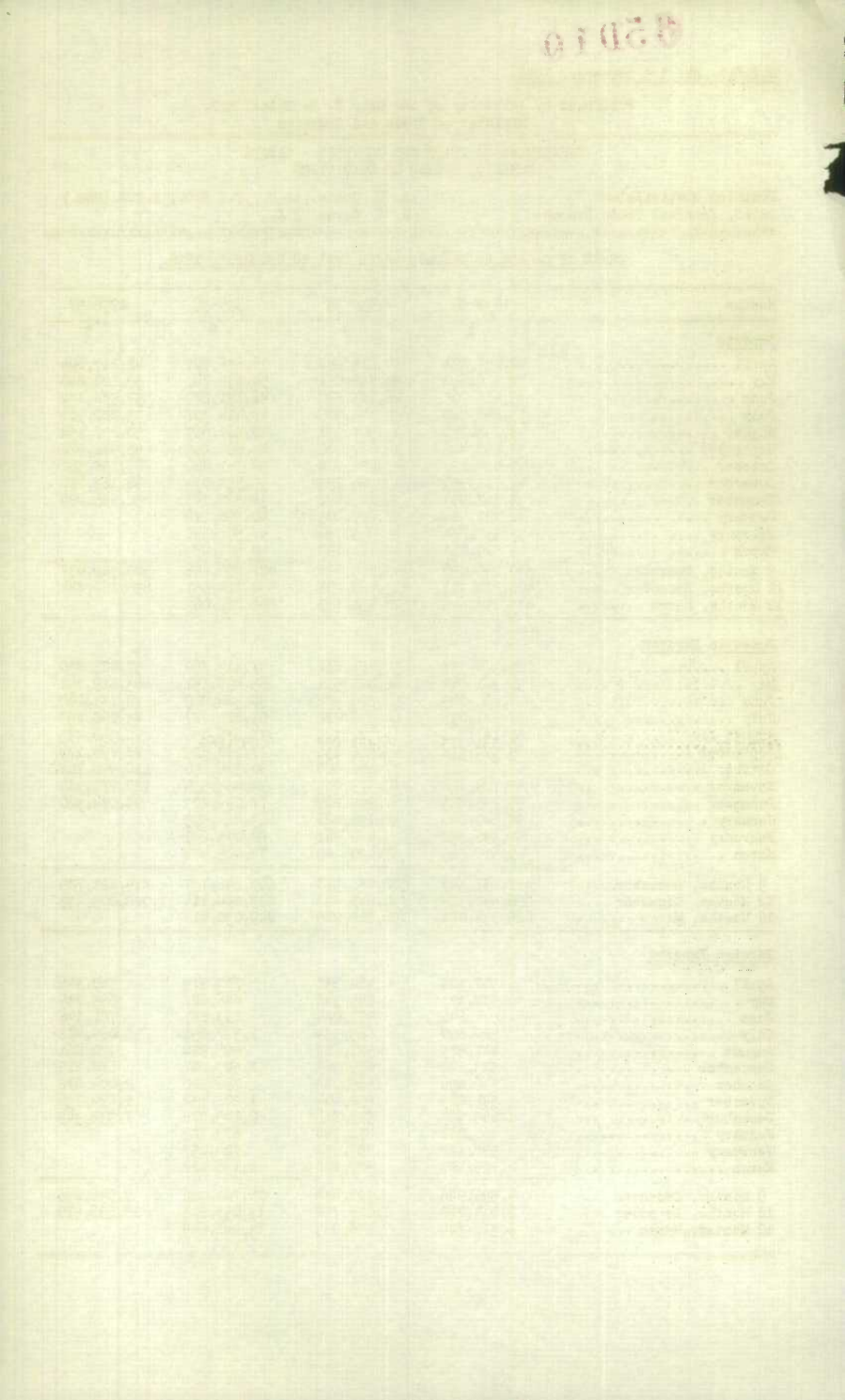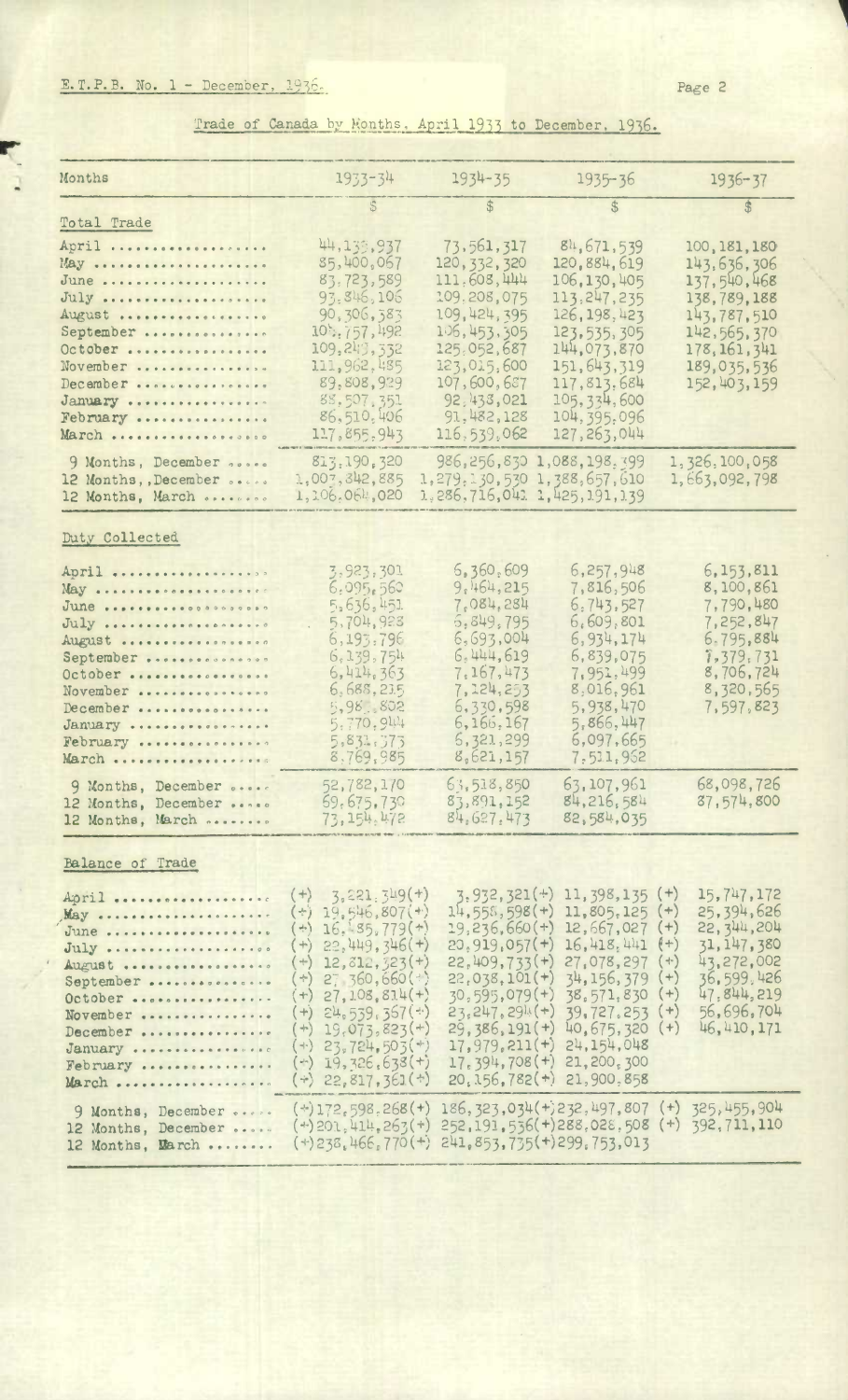## E.T.P.B. No. 1 - December, 1936.

 $\frac{1}{n}$ 

Trade of Canada by Months. April 1933 to December, 1936.

| Months                                                                             | $1933 - 34$                                                                  | 1934-35                              | $1935 - 36$                       | $1936 - 37$                                       |
|------------------------------------------------------------------------------------|------------------------------------------------------------------------------|--------------------------------------|-----------------------------------|---------------------------------------------------|
|                                                                                    | 53                                                                           | \$                                   | \$                                | $\dot{s}$                                         |
| Total Trade                                                                        |                                                                              |                                      |                                   |                                                   |
| April                                                                              | 44,135,937                                                                   | 73,561,317                           | 84,671,539                        | 100, 181, 180                                     |
| May                                                                                | 85,400,067                                                                   | 120, 332, 320                        | 120,884,619                       | 143, 636, 306                                     |
| June                                                                               | 83, 723, 589                                                                 | 111.608,444                          | 106, 130, 405                     | 137,540,468                                       |
| July                                                                               | 93.846,106                                                                   | 109.208,075                          | 113,247,235                       | 138,789,188                                       |
| August                                                                             | 90,306,583                                                                   | 109, 424, 395                        | 126, 198, 423                     | 143,787,510                                       |
| September                                                                          | 10:757,192                                                                   | 106, 453, 305                        | 123, 535, 305                     | 142,565,370                                       |
| October                                                                            | 109, 249, 332                                                                | 125,052,687                          | 144,073,870                       | 178, 161, 341                                     |
| November                                                                           | 111,962,485                                                                  | 123,015,600                          | 151, 643, 319                     | 189,035,536                                       |
| December                                                                           | 89,808,929                                                                   | 107,600,687                          | 117, 813, 684                     | 152, 403, 159                                     |
| January                                                                            | 88,507.351                                                                   | 92, 438, 021                         | 105, 334, 600                     |                                                   |
| February                                                                           | 86,510,406                                                                   | 91, 482, 128                         | 104, 395, 096                     |                                                   |
| March                                                                              | 117,855,943                                                                  | 116, 539, 062                        | 127, 263, 044                     |                                                   |
| 9 Months, December                                                                 | 813.190.320                                                                  |                                      | 986,256,830 1,088,198.399         | 1, 326, 100, 058                                  |
| 12 Months, , December                                                              | 1,007,342,885                                                                |                                      | 1, 279, 130, 530 1, 388, 657, 610 | 1,663,092,798                                     |
| 12 Months, March                                                                   | 1,106,064,020                                                                |                                      | 1,286,716,041 1,425,191,139       |                                                   |
|                                                                                    |                                                                              |                                      |                                   |                                                   |
| Duty Collected                                                                     |                                                                              |                                      |                                   |                                                   |
|                                                                                    |                                                                              |                                      |                                   |                                                   |
| April                                                                              | 3.923,301                                                                    | 5,360,609                            | 6,257,948                         | 6,153,811                                         |
| May                                                                                | 6.095.560                                                                    | 9,464,215                            | 7,816,506                         | 8,100,861                                         |
| June                                                                               | 5,636,451                                                                    | 7,084,284                            | 6.743.527                         | 7,790,480                                         |
| $July \rightarrow \cdots \rightarrow \cdots \rightarrow \cdots \rightarrow \cdots$ | 5,704,923                                                                    | 5.849.795                            | 6,609,801                         | 7,252,847                                         |
| August                                                                             | 6,193,796                                                                    | 6,693,004                            | 6, 934, 174                       | 6.795,884                                         |
| September                                                                          | 6.139.754                                                                    | 6, 444, 619                          | 6,839,075                         | 7, 379, 731                                       |
| October                                                                            | 6,424,363                                                                    | 7, 167, 473                          | 7,951,499                         | 8,706,724                                         |
| November                                                                           | 6, 688, 215                                                                  | 7,124,253                            | 8,016,961                         | 8,320,565                                         |
| December                                                                           | 5,98 802                                                                     | 6,330,598                            | 5,938,470                         | 7,597,823                                         |
| January                                                                            | 5.770.944                                                                    | 6,166,167                            | 5,866,447                         |                                                   |
| February                                                                           | 5,831,373                                                                    | 5,321,299                            | 6,097,665                         |                                                   |
| March                                                                              | 8,769,985                                                                    | 8,621,157                            | 7.511,962                         |                                                   |
| 9 Months, December                                                                 | 52,782,170                                                                   | 63,518,850                           | 63,107,961                        | 68,098,726                                        |
| 12 Months, December                                                                | 59, 675, 730                                                                 | 83,891,152                           | 84,216,584                        | 87,574,800                                        |
| 12 Months, March                                                                   | 73, 154, 472                                                                 | 84.627.473                           | 82,584,035                        |                                                   |
|                                                                                    |                                                                              |                                      |                                   |                                                   |
| Balance of Trade                                                                   |                                                                              |                                      |                                   |                                                   |
|                                                                                    |                                                                              |                                      |                                   |                                                   |
| April                                                                              | $3,221,319(+)$<br>$(+)$                                                      | $3, 932, 321 (+)$                    | 11, 398, 135                      | $(+)$<br>15,747,172                               |
| May                                                                                | $19,546,807(+)$<br>$(\div)$                                                  | $14,555,598(+)$                      | 11,805,125                        | 25,394,626<br>$(+)$                               |
| June                                                                               | $16, 85, 779(+)$<br>$\rightarrow$                                            | $19, 236, 660(+)$                    | 12,667,027                        | 22, 344, 204<br>$(+)$                             |
| July                                                                               | $22,449,346(+)$<br>$+)$                                                      | $20,919,057(+)$                      | 16, 418, 441                      | $(+)$<br>31, 147, 380                             |
| August                                                                             | $12, 812, 523(+)$<br>$+ \big)$                                               | $22,409,733(+)$                      | 27,078,297                        | 43,272,002<br>$(+)$<br>36,599,426<br>$+)$         |
| September                                                                          | $27, 360, 660$ ( $\cdot$ )<br>$\left. \begin{matrix} + \end{matrix} \right)$ | $22,038,101(+)$<br>$30, 595, 079(+)$ | 34, 156, 379<br>38, 571, 830      | 47, 844, 219<br>$(+)$                             |
| October                                                                            | $27, 108, 814(+)$<br>$+$<br>$24, 539, 367$ (*)<br>$+)$                       | $23,247,294(+)$                      | 39,727.253                        | 56,696,704<br>$(+)$                               |
| November                                                                           | $19,073,823(+)$<br>$+)$                                                      | $29,386,191(+)$                      | 40, 675, 320                      | 46, 410, 171<br>$(+)$                             |
| December<br>January                                                                | $23,724,503(*)$<br>$\rightarrow$                                             | $17,979,211(+)$                      | 24, 154, 048                      |                                                   |
| February                                                                           | $19, 326, 638(+)$<br>$\frac{1}{2}$                                           | $17,394,708(+)$                      | 21,200,300                        |                                                   |
| March                                                                              | $22,817,361(+)$<br>$(\div)$                                                  | $20, 156, 782(+)$                    | 21,900,858                        |                                                   |
|                                                                                    |                                                                              |                                      |                                   |                                                   |
| 9 Months, December                                                                 | $(*)172,598,268(+)$                                                          |                                      |                                   | 186, 323, 034 (+) 232, 497, 807 (+) 325, 455, 904 |
| 12 Months, December                                                                | $(+)201,414,263(+)$                                                          |                                      | $252,191,536(+)288,028,508(+)$    | 392, 711, 110                                     |
| 12 Months, March                                                                   | $(+)$ 238, 466, 770 $(+)$                                                    |                                      | 241,853,735(+)299,753,013         |                                                   |